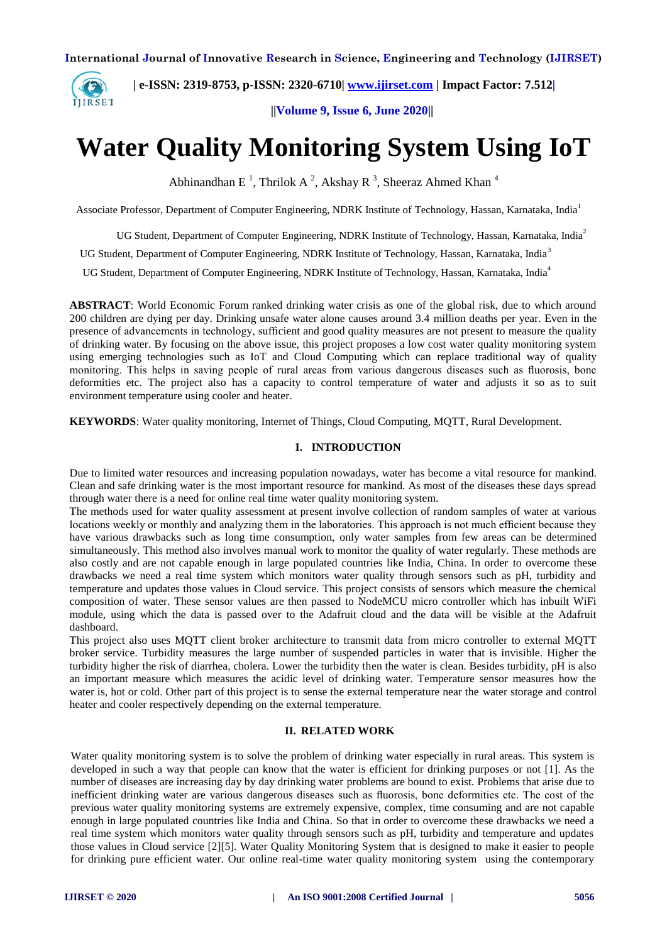

 **| e-ISSN: 2319-8753, p-ISSN: 2320-6710| [www.ijirset.com](http://www.ijirset.com/) | Impact Factor: 7.512|**

 **||Volume 9, Issue 6, June 2020||** 

# **Water Quality Monitoring System Using IoT**

Abhinandhan E<sup>1</sup>, Thrilok A<sup>2</sup>, Akshay R<sup>3</sup>, Sheeraz Ahmed Khan<sup>4</sup>

Associate Professor, Department of Computer Engineering, NDRK Institute of Technology, Hassan, Karnataka, India<sup>1</sup>

UG Student, Department of Computer Engineering, NDRK Institute of Technology, Hassan, Karnataka, India<sup>2</sup>

UG Student, Department of Computer Engineering, NDRK Institute of Technology, Hassan, Karnataka, India<sup>3</sup>

UG Student, Department of Computer Engineering, NDRK Institute of Technology, Hassan, Karnataka, India<sup>4</sup>

**ABSTRACT**: World Economic Forum ranked drinking water crisis as one of the global risk, due to which around 200 children are dying per day. Drinking unsafe water alone causes around 3.4 million deaths per year. Even in the presence of advancements in technology, sufficient and good quality measures are not present to measure the quality of drinking water. By focusing on the above issue, this project proposes a low cost water quality monitoring system using emerging technologies such as IoT and Cloud Computing which can replace traditional way of quality monitoring. This helps in saving people of rural areas from various dangerous diseases such as fluorosis, bone deformities etc. The project also has a capacity to control temperature of water and adjusts it so as to suit environment temperature using cooler and heater.

**KEYWORDS**: Water quality monitoring, Internet of Things, Cloud Computing, MQTT, Rural Development.

## **I. INTRODUCTION**

Due to limited water resources and increasing population nowadays, water has become a vital resource for mankind. Clean and safe drinking water is the most important resource for mankind. As most of the diseases these days spread through water there is a need for online real time water quality monitoring system.

The methods used for water quality assessment at present involve collection of random samples of water at various locations weekly or monthly and analyzing them in the laboratories. This approach is not much efficient because they have various drawbacks such as long time consumption, only water samples from few areas can be determined simultaneously. This method also involves manual work to monitor the quality of water regularly. These methods are also costly and are not capable enough in large populated countries like India, China. In order to overcome these drawbacks we need a real time system which monitors water quality through sensors such as pH, turbidity and temperature and updates those values in Cloud service. This project consists of sensors which measure the chemical composition of water. These sensor values are then passed to NodeMCU micro controller which has inbuilt WiFi module, using which the data is passed over to the Adafruit cloud and the data will be visible at the Adafruit dashboard.

This project also uses MQTT client broker architecture to transmit data from micro controller to external MQTT broker service. Turbidity measures the large number of suspended particles in water that is invisible. Higher the turbidity higher the risk of diarrhea, cholera. Lower the turbidity then the water is clean. Besides turbidity, pH is also an important measure which measures the acidic level of drinking water. Temperature sensor measures how the water is, hot or cold. Other part of this project is to sense the external temperature near the water storage and control heater and cooler respectively depending on the external temperature.

## **II. RELATED WORK**

Water quality monitoring system is to solve the problem of drinking water especially in rural areas. This system is developed in such a way that people can know that the water is efficient for drinking purposes or not [1]. As the number of diseases are increasing day by day drinking water problems are bound to exist. Problems that arise due to inefficient drinking water are various dangerous diseases such as fluorosis, bone deformities etc. The cost of the previous water quality monitoring systems are extremely expensive, complex, time consuming and are not capable enough in large populated countries like India and China. So that in order to overcome these drawbacks we need a real time system which monitors water quality through sensors such as pH, turbidity and temperature and updates those values in Cloud service [2][5]. Water Quality Monitoring System that is designed to make it easier to people for drinking pure efficient water. Our online real-time water quality monitoring system using the contemporary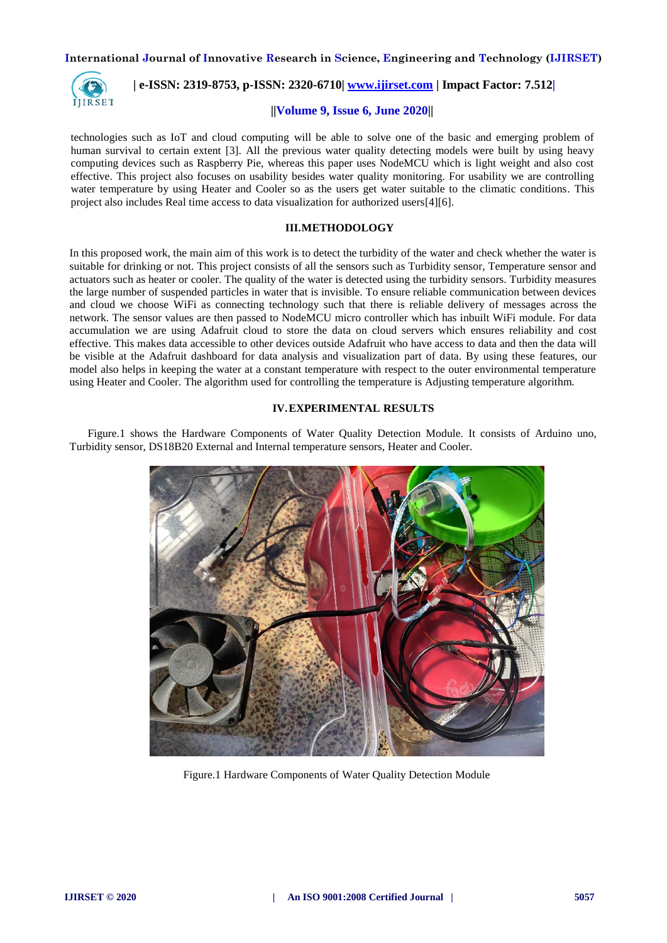

 **| e-ISSN: 2319-8753, p-ISSN: 2320-6710| [www.ijirset.com](http://www.ijirset.com/) | Impact Factor: 7.512|**

### **||Volume 9, Issue 6, June 2020||**

technologies such as IoT and cloud computing will be able to solve one of the basic and emerging problem of human survival to certain extent [3]. All the previous water quality detecting models were built by using heavy computing devices such as Raspberry Pie, whereas this paper uses NodeMCU which is light weight and also cost effective. This project also focuses on usability besides water quality monitoring. For usability we are controlling water temperature by using Heater and Cooler so as the users get water suitable to the climatic conditions. This project also includes Real time access to data visualization for authorized users[4][6].

## **III.METHODOLOGY**

In this proposed work, the main aim of this work is to detect the turbidity of the water and check whether the water is suitable for drinking or not. This project consists of all the sensors such as Turbidity sensor, Temperature sensor and actuators such as heater or cooler. The quality of the water is detected using the turbidity sensors. Turbidity measures the large number of suspended particles in water that is invisible. To ensure reliable communication between devices and cloud we choose WiFi as connecting technology such that there is reliable delivery of messages across the network. The sensor values are then passed to NodeMCU micro controller which has inbuilt WiFi module. For data accumulation we are using Adafruit cloud to store the data on cloud servers which ensures reliability and cost effective. This makes data accessible to other devices outside Adafruit who have access to data and then the data will be visible at the Adafruit dashboard for data analysis and visualization part of data. By using these features, our model also helps in keeping the water at a constant temperature with respect to the outer environmental temperature using Heater and Cooler. The algorithm used for controlling the temperature is Adjusting temperature algorithm.

#### **IV.EXPERIMENTAL RESULTS**

 Figure.1 shows the Hardware Components of Water Quality Detection Module. It consists of Arduino uno, Turbidity sensor, DS18B20 External and Internal temperature sensors, Heater and Cooler.



Figure.1 Hardware Components of Water Quality Detection Module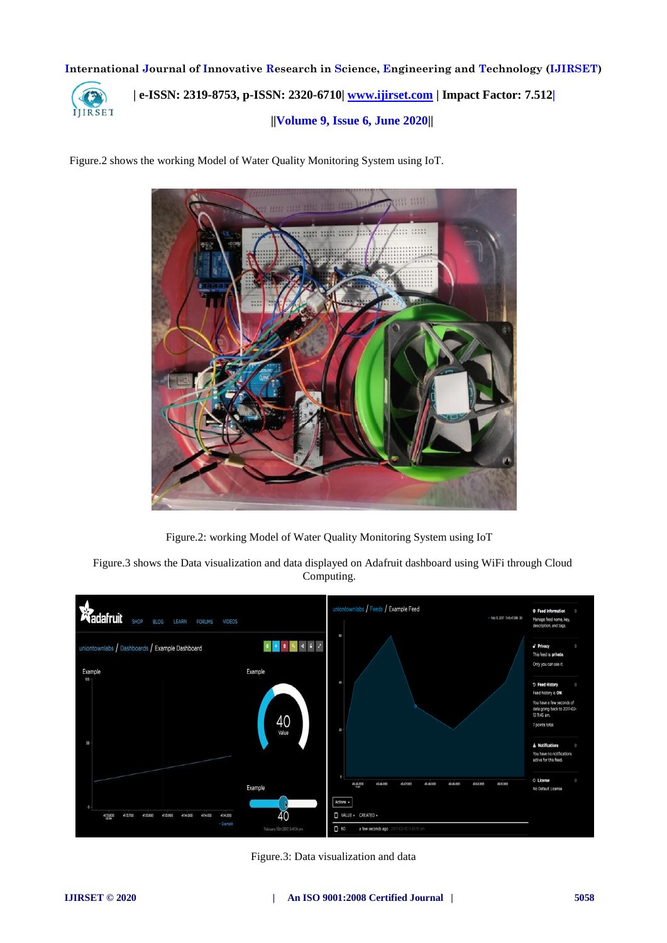

 **| e-ISSN: 2319-8753, p-ISSN: 2320-6710| [www.ijirset.com](http://www.ijirset.com/) | Impact Factor: 7.512| ||Volume 9, Issue 6, June 2020||** 

Figure.2 shows the working Model of Water Quality Monitoring System using IoT.



Figure.2: working Model of Water Quality Monitoring System using IoT

Figure.3 shows the Data visualization and data displayed on Adafruit dashboard using WiFi through Cloud Computing.



Figure.3: Data visualization and data